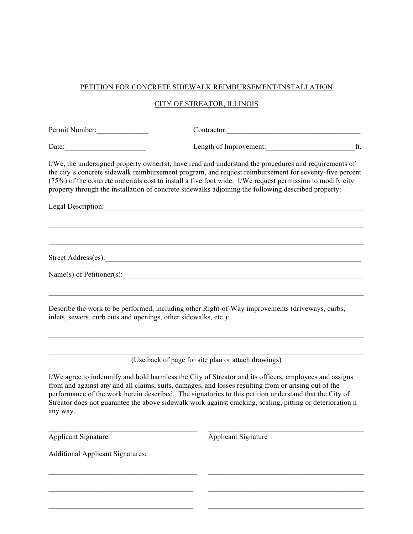## PETITION FOR CONCRETE SIDEWALK REIMBURSEMENT/INSTALLATION

## CITY OF STREATOR, ILLINOIS

| Permit Number:                                                  | Contractor:                                                                                                                                                                                                                                                                                                                                                                                                                           |  |
|-----------------------------------------------------------------|---------------------------------------------------------------------------------------------------------------------------------------------------------------------------------------------------------------------------------------------------------------------------------------------------------------------------------------------------------------------------------------------------------------------------------------|--|
| Date: $\qquad \qquad$                                           | Length of Improvement: ft.                                                                                                                                                                                                                                                                                                                                                                                                            |  |
|                                                                 | I/We, the undersigned property owner(s), have read and understand the procedures and requirements of<br>the city's concrete sidewalk reimbursement program, and request reimbursement for seventy-five percent<br>(75%) of the concrete materials cost to install a five foot wide. I/We request permission to modify city<br>property through the installation of concrete sidewalks adjoining the following described property:     |  |
|                                                                 | Legal Description:                                                                                                                                                                                                                                                                                                                                                                                                                    |  |
|                                                                 |                                                                                                                                                                                                                                                                                                                                                                                                                                       |  |
|                                                                 |                                                                                                                                                                                                                                                                                                                                                                                                                                       |  |
|                                                                 |                                                                                                                                                                                                                                                                                                                                                                                                                                       |  |
| inlets, sewers, curb cuts and openings, other sidewalks, etc.): | Describe the work to be performed, including other Right-of-Way improvements (driveways, curbs,                                                                                                                                                                                                                                                                                                                                       |  |
|                                                                 |                                                                                                                                                                                                                                                                                                                                                                                                                                       |  |
|                                                                 | (Use back of page for site plan or attach drawings)                                                                                                                                                                                                                                                                                                                                                                                   |  |
| any way.                                                        | I/We agree to indemnify and hold harmless the City of Streator and its officers, employees and assigns<br>from and against any and all claims, suits, damages, and losses resulting from or arising out of the<br>performance of the work herein described. The signatories to this petition understand that the City of<br>Streator does not guarantee the above sidewalk work against cracking, scaling, pitting or deterioration n |  |
| <b>Applicant Signature</b>                                      | <b>Applicant Signature</b>                                                                                                                                                                                                                                                                                                                                                                                                            |  |
| <b>Additional Applicant Signatures:</b>                         |                                                                                                                                                                                                                                                                                                                                                                                                                                       |  |

 $\mathcal{L}_\text{max} = \mathcal{L}_\text{max} = \mathcal{L}_\text{max} = \mathcal{L}_\text{max} = \mathcal{L}_\text{max} = \mathcal{L}_\text{max} = \mathcal{L}_\text{max} = \mathcal{L}_\text{max} = \mathcal{L}_\text{max} = \mathcal{L}_\text{max} = \mathcal{L}_\text{max} = \mathcal{L}_\text{max} = \mathcal{L}_\text{max} = \mathcal{L}_\text{max} = \mathcal{L}_\text{max} = \mathcal{L}_\text{max} = \mathcal{L}_\text{max} = \mathcal{L}_\text{max} = \mathcal{$ 

 $\mathcal{L}_\text{max} = \mathcal{L}_\text{max} = \mathcal{L}_\text{max} = \mathcal{L}_\text{max} = \mathcal{L}_\text{max} = \mathcal{L}_\text{max} = \mathcal{L}_\text{max} = \mathcal{L}_\text{max} = \mathcal{L}_\text{max} = \mathcal{L}_\text{max} = \mathcal{L}_\text{max} = \mathcal{L}_\text{max} = \mathcal{L}_\text{max} = \mathcal{L}_\text{max} = \mathcal{L}_\text{max} = \mathcal{L}_\text{max} = \mathcal{L}_\text{max} = \mathcal{L}_\text{max} = \mathcal{$ 

 $\mathcal{L}_\text{max} = \mathcal{L}_\text{max} = \mathcal{L}_\text{max} = \mathcal{L}_\text{max} = \mathcal{L}_\text{max} = \mathcal{L}_\text{max} = \mathcal{L}_\text{max} = \mathcal{L}_\text{max} = \mathcal{L}_\text{max} = \mathcal{L}_\text{max} = \mathcal{L}_\text{max} = \mathcal{L}_\text{max} = \mathcal{L}_\text{max} = \mathcal{L}_\text{max} = \mathcal{L}_\text{max} = \mathcal{L}_\text{max} = \mathcal{L}_\text{max} = \mathcal{L}_\text{max} = \mathcal{$